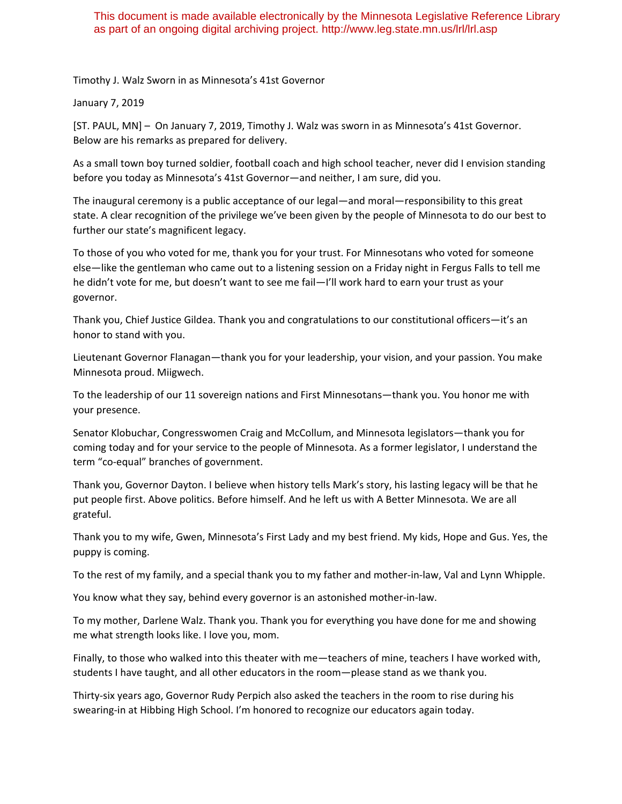## This document is made available electronically by the Minnesota Legislative Reference Library as part of an ongoing digital archiving project. http://www.leg.state.mn.us/lrl/lrl.asp

Timothy J. Walz Sworn in as Minnesota's 41st Governor

## January 7, 2019

[ST. PAUL, MN] – On January 7, 2019, Timothy J. Walz was sworn in as Minnesota's 41st Governor. Below are his remarks as prepared for delivery.

As a small town boy turned soldier, football coach and high school teacher, never did I envision standing before you today as Minnesota's 41st Governor—and neither, I am sure, did you.

The inaugural ceremony is a public acceptance of our legal—and moral—responsibility to this great state. A clear recognition of the privilege we've been given by the people of Minnesota to do our best to further our state's magnificent legacy.

To those of you who voted for me, thank you for your trust. For Minnesotans who voted for someone else—like the gentleman who came out to a listening session on a Friday night in Fergus Falls to tell me he didn't vote for me, but doesn't want to see me fail—I'll work hard to earn your trust as your governor.

Thank you, Chief Justice Gildea. Thank you and congratulations to our constitutional officers—it's an honor to stand with you.

Lieutenant Governor Flanagan—thank you for your leadership, your vision, and your passion. You make Minnesota proud. Miigwech.

To the leadership of our 11 sovereign nations and First Minnesotans—thank you. You honor me with your presence.

Senator Klobuchar, Congresswomen Craig and McCollum, and Minnesota legislators—thank you for coming today and for your service to the people of Minnesota. As a former legislator, I understand the term "co‐equal" branches of government.

Thank you, Governor Dayton. I believe when history tells Mark's story, his lasting legacy will be that he put people first. Above politics. Before himself. And he left us with A Better Minnesota. We are all grateful.

Thank you to my wife, Gwen, Minnesota's First Lady and my best friend. My kids, Hope and Gus. Yes, the puppy is coming.

To the rest of my family, and a special thank you to my father and mother‐in‐law, Val and Lynn Whipple.

You know what they say, behind every governor is an astonished mother‐in‐law.

To my mother, Darlene Walz. Thank you. Thank you for everything you have done for me and showing me what strength looks like. I love you, mom.

Finally, to those who walked into this theater with me—teachers of mine, teachers I have worked with, students I have taught, and all other educators in the room—please stand as we thank you.

Thirty‐six years ago, Governor Rudy Perpich also asked the teachers in the room to rise during his swearing-in at Hibbing High School. I'm honored to recognize our educators again today.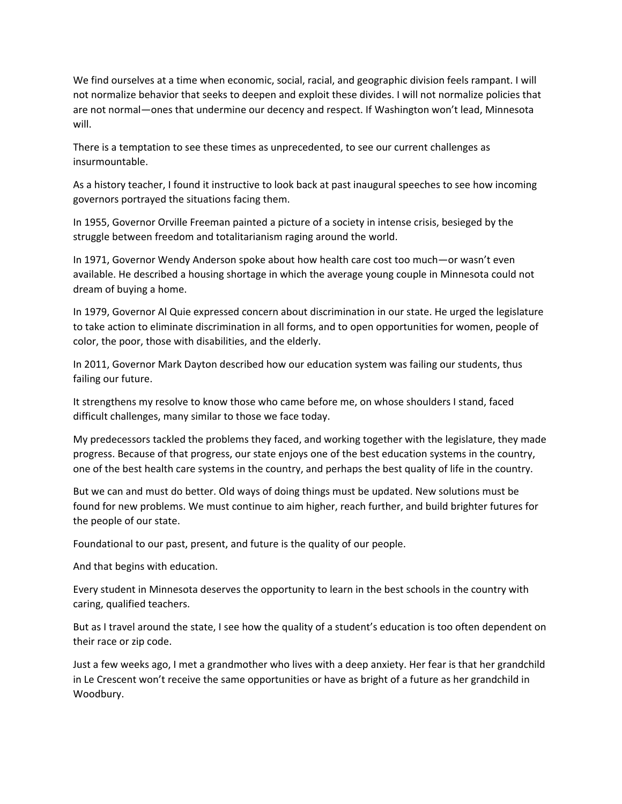We find ourselves at a time when economic, social, racial, and geographic division feels rampant. I will not normalize behavior that seeks to deepen and exploit these divides. I will not normalize policies that are not normal—ones that undermine our decency and respect. If Washington won't lead, Minnesota will.

There is a temptation to see these times as unprecedented, to see our current challenges as insurmountable.

As a history teacher, I found it instructive to look back at past inaugural speeches to see how incoming governors portrayed the situations facing them.

In 1955, Governor Orville Freeman painted a picture of a society in intense crisis, besieged by the struggle between freedom and totalitarianism raging around the world.

In 1971, Governor Wendy Anderson spoke about how health care cost too much—or wasn't even available. He described a housing shortage in which the average young couple in Minnesota could not dream of buying a home.

In 1979, Governor Al Quie expressed concern about discrimination in our state. He urged the legislature to take action to eliminate discrimination in all forms, and to open opportunities for women, people of color, the poor, those with disabilities, and the elderly.

In 2011, Governor Mark Dayton described how our education system was failing our students, thus failing our future.

It strengthens my resolve to know those who came before me, on whose shoulders I stand, faced difficult challenges, many similar to those we face today.

My predecessors tackled the problems they faced, and working together with the legislature, they made progress. Because of that progress, our state enjoys one of the best education systems in the country, one of the best health care systems in the country, and perhaps the best quality of life in the country.

But we can and must do better. Old ways of doing things must be updated. New solutions must be found for new problems. We must continue to aim higher, reach further, and build brighter futures for the people of our state.

Foundational to our past, present, and future is the quality of our people.

And that begins with education.

Every student in Minnesota deserves the opportunity to learn in the best schools in the country with caring, qualified teachers.

But as I travel around the state, I see how the quality of a student's education is too often dependent on their race or zip code.

Just a few weeks ago, I met a grandmother who lives with a deep anxiety. Her fear is that her grandchild in Le Crescent won't receive the same opportunities or have as bright of a future as her grandchild in Woodbury.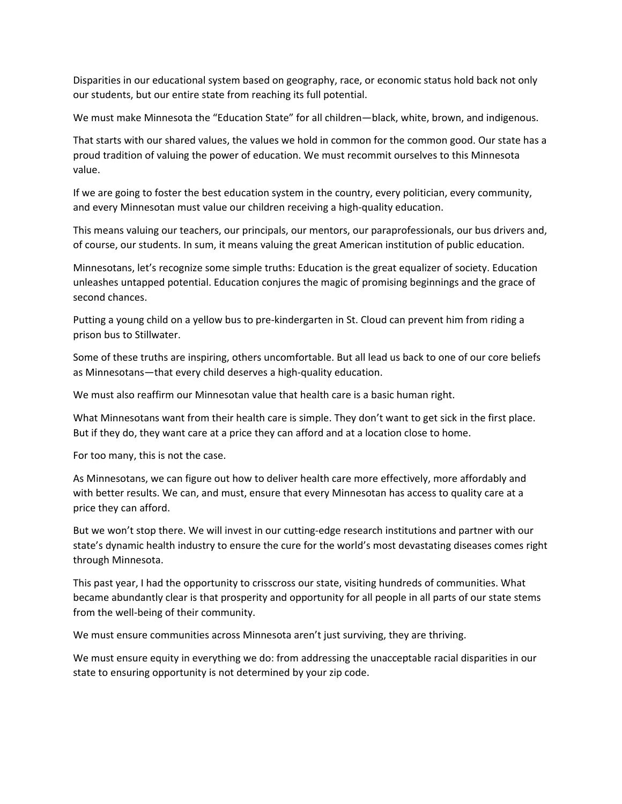Disparities in our educational system based on geography, race, or economic status hold back not only our students, but our entire state from reaching its full potential.

We must make Minnesota the "Education State" for all children—black, white, brown, and indigenous.

That starts with our shared values, the values we hold in common for the common good. Our state has a proud tradition of valuing the power of education. We must recommit ourselves to this Minnesota value.

If we are going to foster the best education system in the country, every politician, every community, and every Minnesotan must value our children receiving a high-quality education.

This means valuing our teachers, our principals, our mentors, our paraprofessionals, our bus drivers and, of course, our students. In sum, it means valuing the great American institution of public education.

Minnesotans, let's recognize some simple truths: Education is the great equalizer of society. Education unleashes untapped potential. Education conjures the magic of promising beginnings and the grace of second chances.

Putting a young child on a yellow bus to pre‐kindergarten in St. Cloud can prevent him from riding a prison bus to Stillwater.

Some of these truths are inspiring, others uncomfortable. But all lead us back to one of our core beliefs as Minnesotans—that every child deserves a high‐quality education.

We must also reaffirm our Minnesotan value that health care is a basic human right.

What Minnesotans want from their health care is simple. They don't want to get sick in the first place. But if they do, they want care at a price they can afford and at a location close to home.

For too many, this is not the case.

As Minnesotans, we can figure out how to deliver health care more effectively, more affordably and with better results. We can, and must, ensure that every Minnesotan has access to quality care at a price they can afford.

But we won't stop there. We will invest in our cutting-edge research institutions and partner with our state's dynamic health industry to ensure the cure for the world's most devastating diseases comes right through Minnesota.

This past year, I had the opportunity to crisscross our state, visiting hundreds of communities. What became abundantly clear is that prosperity and opportunity for all people in all parts of our state stems from the well-being of their community.

We must ensure communities across Minnesota aren't just surviving, they are thriving.

We must ensure equity in everything we do: from addressing the unacceptable racial disparities in our state to ensuring opportunity is not determined by your zip code.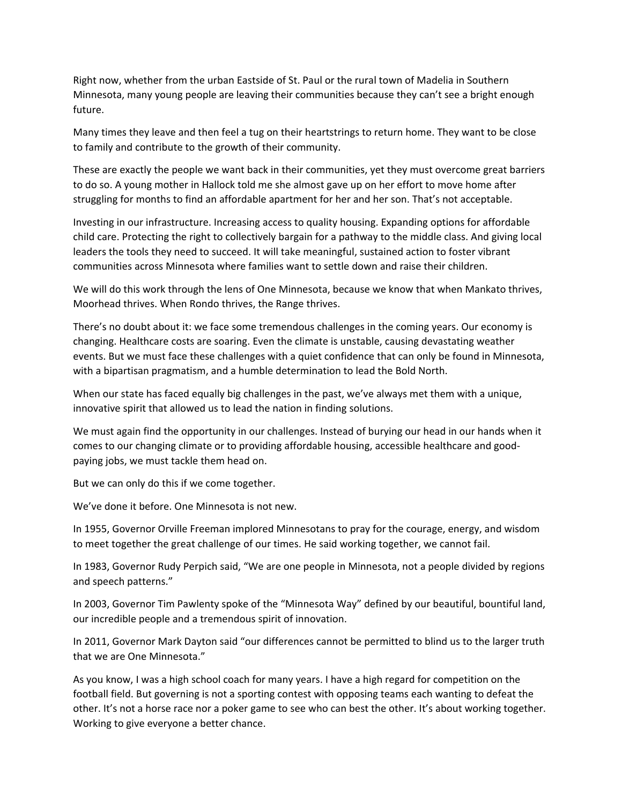Right now, whether from the urban Eastside of St. Paul or the rural town of Madelia in Southern Minnesota, many young people are leaving their communities because they can't see a bright enough future.

Many times they leave and then feel a tug on their heartstrings to return home. They want to be close to family and contribute to the growth of their community.

These are exactly the people we want back in their communities, yet they must overcome great barriers to do so. A young mother in Hallock told me she almost gave up on her effort to move home after struggling for months to find an affordable apartment for her and her son. That's not acceptable.

Investing in our infrastructure. Increasing access to quality housing. Expanding options for affordable child care. Protecting the right to collectively bargain for a pathway to the middle class. And giving local leaders the tools they need to succeed. It will take meaningful, sustained action to foster vibrant communities across Minnesota where families want to settle down and raise their children.

We will do this work through the lens of One Minnesota, because we know that when Mankato thrives, Moorhead thrives. When Rondo thrives, the Range thrives.

There's no doubt about it: we face some tremendous challenges in the coming years. Our economy is changing. Healthcare costs are soaring. Even the climate is unstable, causing devastating weather events. But we must face these challenges with a quiet confidence that can only be found in Minnesota, with a bipartisan pragmatism, and a humble determination to lead the Bold North.

When our state has faced equally big challenges in the past, we've always met them with a unique, innovative spirit that allowed us to lead the nation in finding solutions.

We must again find the opportunity in our challenges. Instead of burying our head in our hands when it comes to our changing climate or to providing affordable housing, accessible healthcare and good‐ paying jobs, we must tackle them head on.

But we can only do this if we come together.

We've done it before. One Minnesota is not new.

In 1955, Governor Orville Freeman implored Minnesotans to pray for the courage, energy, and wisdom to meet together the great challenge of our times. He said working together, we cannot fail.

In 1983, Governor Rudy Perpich said, "We are one people in Minnesota, not a people divided by regions and speech patterns."

In 2003, Governor Tim Pawlenty spoke of the "Minnesota Way" defined by our beautiful, bountiful land, our incredible people and a tremendous spirit of innovation.

In 2011, Governor Mark Dayton said "our differences cannot be permitted to blind us to the larger truth that we are One Minnesota."

As you know, I was a high school coach for many years. I have a high regard for competition on the football field. But governing is not a sporting contest with opposing teams each wanting to defeat the other. It's not a horse race nor a poker game to see who can best the other. It's about working together. Working to give everyone a better chance.